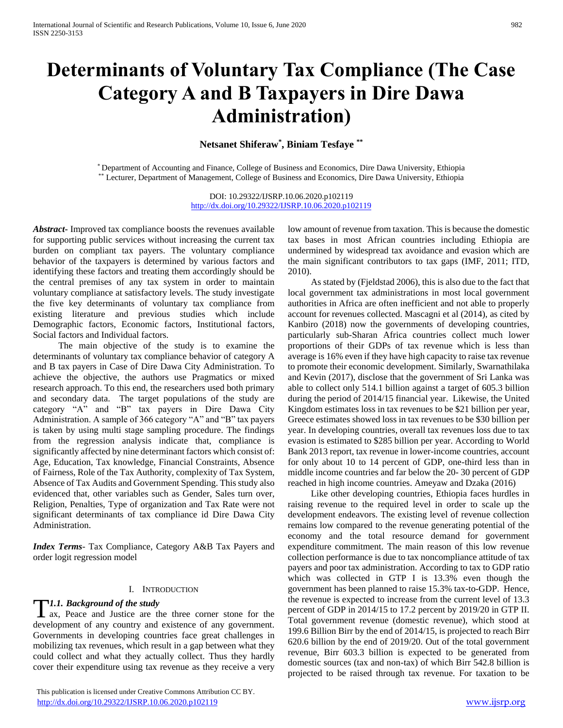# **Determinants of Voluntary Tax Compliance (The Case Category A and B Taxpayers in Dire Dawa Administration)**

**Netsanet Shiferaw\* , Biniam Tesfaye \*\***

\* Department of Accounting and Finance, College of Business and Economics, Dire Dawa University, Ethiopia \*\* Lecturer, Department of Management, College of Business and Economics, Dire Dawa University, Ethiopia

> DOI: 10.29322/IJSRP.10.06.2020.p102119 <http://dx.doi.org/10.29322/IJSRP.10.06.2020.p102119>

*Abstract***-** Improved tax compliance boosts the revenues available for supporting public services without increasing the current tax burden on compliant tax payers. The voluntary compliance behavior of the taxpayers is determined by various factors and identifying these factors and treating them accordingly should be the central premises of any tax system in order to maintain voluntary compliance at satisfactory levels. The study investigate the five key determinants of voluntary tax compliance from existing literature and previous studies which include Demographic factors, Economic factors, Institutional factors, Social factors and Individual factors.

 The main objective of the study is to examine the determinants of voluntary tax compliance behavior of category A and B tax payers in Case of Dire Dawa City Administration. To achieve the objective, the authors use Pragmatics or mixed research approach. To this end, the researchers used both primary and secondary data. The target populations of the study are category "A" and "B" tax payers in Dire Dawa City Administration. A sample of 366 category "A" and "B" tax payers is taken by using multi stage sampling procedure. The findings from the regression analysis indicate that, compliance is significantly affected by nine determinant factors which consist of: Age, Education, Tax knowledge, Financial Constraints, Absence of Fairness, Role of the Tax Authority, complexity of Tax System, Absence of Tax Audits and Government Spending. This study also evidenced that, other variables such as Gender, Sales turn over, Religion, Penalties, Type of organization and Tax Rate were not significant determinants of tax compliance id Dire Dawa City Administration.

*Index Terms*- Tax Compliance, Category A&B Tax Payers and order logit regression model

## I. INTRODUCTION

## *1.1. Background of the study*

**T1.1. Background of the study**<br>ax, Peace and Justice are the three corner stone for the development of any country and existence of any government. Governments in developing countries face great challenges in mobilizing tax revenues, which result in a gap between what they could collect and what they actually collect. Thus they hardly cover their expenditure using tax revenue as they receive a very

low amount of revenue from taxation. This is because the domestic tax bases in most African countries including Ethiopia are undermined by widespread tax avoidance and evasion which are the main significant contributors to tax gaps (IMF, 2011; ITD, 2010).

 As stated by (Fjeldstad 2006), this is also due to the fact that local government tax administrations in most local government authorities in Africa are often inefficient and not able to properly account for revenues collected. Mascagni et al (2014), as cited by Kanbiro (2018) now the governments of developing countries, particularly sub-Sharan Africa countries collect much lower proportions of their GDPs of tax revenue which is less than average is 16% even if they have high capacity to raise tax revenue to promote their economic development. Similarly, Swarnathilaka and Kevin (2017), disclose that the government of Sri Lanka was able to collect only 514.1 billion against a target of 605.3 billion during the period of 2014/15 financial year. Likewise, the United Kingdom estimates loss in tax revenues to be \$21 billion per year, Greece estimates showed loss in tax revenues to be \$30 billion per year. In developing countries, overall tax revenues loss due to tax evasion is estimated to \$285 billion per year. According to World Bank 2013 report, tax revenue in lower-income countries, account for only about 10 to 14 percent of GDP, one-third less than in middle income countries and far below the 20- 30 percent of GDP reached in high income countries. Ameyaw and Dzaka (2016)

 Like other developing countries, Ethiopia faces hurdles in raising revenue to the required level in order to scale up the development endeavors. The existing level of revenue collection remains low compared to the revenue generating potential of the economy and the total resource demand for government expenditure commitment. The main reason of this low revenue collection performance is due to tax noncompliance attitude of tax payers and poor tax administration. According to tax to GDP ratio which was collected in GTP I is 13.3% even though the government has been planned to raise 15.3% tax-to-GDP. Hence, the revenue is expected to increase from the current level of 13.3 percent of GDP in 2014/15 to 17.2 percent by 2019/20 in GTP II. Total government revenue (domestic revenue), which stood at 199.6 Billion Birr by the end of 2014/15, is projected to reach Birr 620.6 billion by the end of 2019/20. Out of the total government revenue, Birr 603.3 billion is expected to be generated from domestic sources (tax and non-tax) of which Birr 542.8 billion is projected to be raised through tax revenue. For taxation to be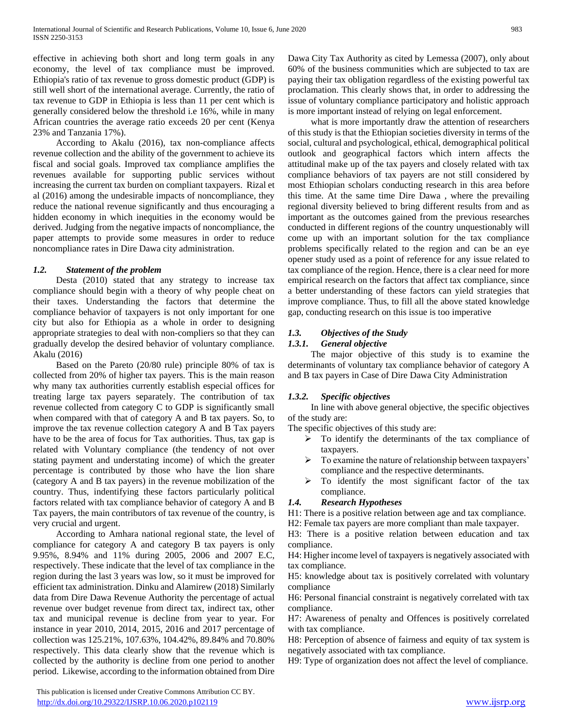effective in achieving both short and long term goals in any economy, the level of tax compliance must be improved. Ethiopia's ratio of tax revenue to gross domestic product (GDP) is still well short of the international average. Currently, the ratio of tax revenue to GDP in Ethiopia is less than 11 per cent which is generally considered below the threshold i.e 16%, while in many African countries the average ratio exceeds 20 per cent (Kenya 23% and Tanzania 17%).

 According to Akalu (2016), tax non-compliance affects revenue collection and the ability of the government to achieve its fiscal and social goals. Improved tax compliance amplifies the revenues available for supporting public services without increasing the current tax burden on compliant taxpayers. Rizal et al (2016) among the undesirable impacts of noncompliance, they reduce the national revenue significantly and thus encouraging a hidden economy in which inequities in the economy would be derived. Judging from the negative impacts of noncompliance, the paper attempts to provide some measures in order to reduce noncompliance rates in Dire Dawa city administration.

## *1.2. Statement of the problem*

 Desta (2010) stated that any strategy to increase tax compliance should begin with a theory of why people cheat on their taxes. Understanding the factors that determine the compliance behavior of taxpayers is not only important for one city but also for Ethiopia as a whole in order to designing appropriate strategies to deal with non-compliers so that they can gradually develop the desired behavior of voluntary compliance. Akalu (2016)

 Based on the Pareto (20/80 rule) principle 80% of tax is collected from 20% of higher tax payers. This is the main reason why many tax authorities currently establish especial offices for treating large tax payers separately. The contribution of tax revenue collected from category C to GDP is significantly small when compared with that of category A and B tax payers. So, to improve the tax revenue collection category A and B Tax payers have to be the area of focus for Tax authorities. Thus, tax gap is related with Voluntary compliance (the tendency of not over stating payment and understating income) of which the greater percentage is contributed by those who have the lion share (category A and B tax payers) in the revenue mobilization of the country. Thus, indentifying these factors particularly political factors related with tax compliance behavior of category A and B Tax payers, the main contributors of tax revenue of the country, is very crucial and urgent.

 According to Amhara national regional state, the level of compliance for category A and category B tax payers is only 9.95%, 8.94% and 11% during 2005, 2006 and 2007 E.C, respectively. These indicate that the level of tax compliance in the region during the last 3 years was low, so it must be improved for efficient tax administration. Dinku and Alamirew (2018) Similarly data from Dire Dawa Revenue Authority the percentage of actual revenue over budget revenue from direct tax, indirect tax, other tax and municipal revenue is decline from year to year. For instance in year 2010, 2014, 2015, 2016 and 2017 percentage of collection was 125.21%, 107.63%, 104.42%, 89.84% and 70.80% respectively. This data clearly show that the revenue which is collected by the authority is decline from one period to another period. Likewise, according to the information obtained from Dire Dawa City Tax Authority as cited by Lemessa (2007), only about 60% of the business communities which are subjected to tax are paying their tax obligation regardless of the existing powerful tax proclamation. This clearly shows that, in order to addressing the issue of voluntary compliance participatory and holistic approach is more important instead of relying on legal enforcement.

 what is more importantly draw the attention of researchers of this study is that the Ethiopian societies diversity in terms of the social, cultural and psychological, ethical, demographical political outlook and geographical factors which intern affects the attitudinal make up of the tax payers and closely related with tax compliance behaviors of tax payers are not still considered by most Ethiopian scholars conducting research in this area before this time. At the same time Dire Dawa , where the prevailing regional diversity believed to bring different results from and as important as the outcomes gained from the previous researches conducted in different regions of the country unquestionably will come up with an important solution for the tax compliance problems specifically related to the region and can be an eye opener study used as a point of reference for any issue related to tax compliance of the region. Hence, there is a clear need for more empirical research on the factors that affect tax compliance, since a better understanding of these factors can yield strategies that improve compliance. Thus, to fill all the above stated knowledge gap, conducting research on this issue is too imperative

# *1.3. Objectives of the Study*

# *1.3.1. General objective*

 The major objective of this study is to examine the determinants of voluntary tax compliance behavior of category A and B tax payers in Case of Dire Dawa City Administration

# *1.3.2. Specific objectives*

 In line with above general objective, the specific objectives of the study are:

The specific objectives of this study are:

- $\triangleright$  To identify the determinants of the tax compliance of taxpayers.
- $\triangleright$  To examine the nature of relationship between taxpayers' compliance and the respective determinants.
- $\triangleright$  To identify the most significant factor of the tax compliance.

# *1.4. Research Hypotheses*

H1: There is a positive relation between age and tax compliance.

H2: Female tax payers are more compliant than male taxpayer.

H3: There is a positive relation between education and tax compliance.

H4: Higher income level of taxpayers is negatively associated with tax compliance.

H5: knowledge about tax is positively correlated with voluntary compliance

H6: Personal financial constraint is negatively correlated with tax compliance.

H7: Awareness of penalty and Offences is positively correlated with tax compliance.

H8: Perception of absence of fairness and equity of tax system is negatively associated with tax compliance.

H9: Type of organization does not affect the level of compliance.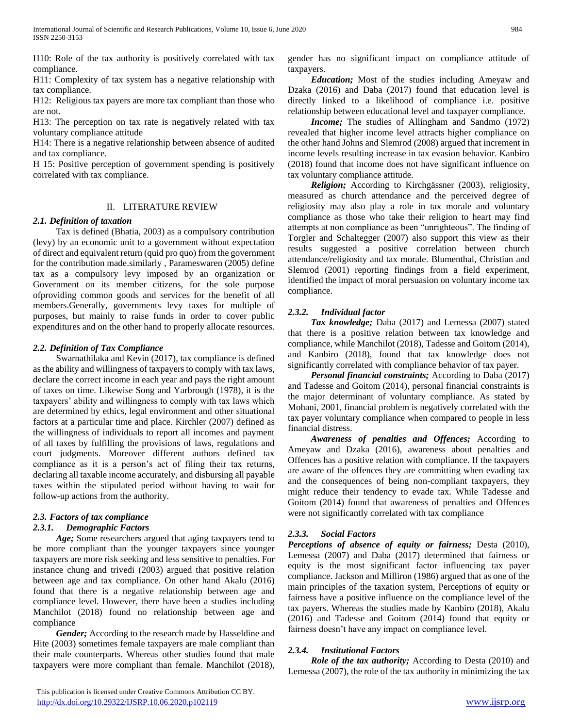H10: Role of the tax authority is positively correlated with tax compliance.

H11: Complexity of tax system has a negative relationship with tax compliance.

H12: Religious tax payers are more tax compliant than those who are not.

H13: The perception on tax rate is negatively related with tax voluntary compliance attitude

H14: There is a negative relationship between absence of audited and tax compliance.

H 15: Positive perception of government spending is positively correlated with tax compliance.

## II. LITERATURE REVIEW

## *2.1. Definition of taxation*

 Tax is defined (Bhatia, 2003) as a compulsory contribution (levy) by an economic unit to a government without expectation of direct and equivalent return (quid pro quo) from the government for the contribution made.similarly , Parameswaren (2005) define tax as a compulsory levy imposed by an organization or Government on its member citizens, for the sole purpose ofproviding common goods and services for the benefit of all members.Generally, governments levy taxes for multiple of purposes, but mainly to raise funds in order to cover public expenditures and on the other hand to properly allocate resources.

# *2.2. Definition of Tax Compliance*

 Swarnathilaka and Kevin (2017), tax compliance is defined as the ability and willingness of taxpayers to comply with tax laws, declare the correct income in each year and pays the right amount of taxes on time. Likewise Song and Yarbrough (1978), it is the taxpayers' ability and willingness to comply with tax laws which are determined by ethics, legal environment and other situational factors at a particular time and place. Kirchler (2007) defined as the willingness of individuals to report all incomes and payment of all taxes by fulfilling the provisions of laws, regulations and court judgments. Moreover different authors defined tax compliance as it is a person's act of filing their tax returns, declaring all taxable income accurately, and disbursing all payable taxes within the stipulated period without having to wait for follow-up actions from the authority.

#### *2.3. Factors of tax compliance 2.3.1. Demographic Factors*

 *Age;* Some researchers argued that aging taxpayers tend to be more compliant than the younger taxpayers since younger taxpayers are more risk seeking and less sensitive to penalties. For instance chung and trivedi (2003) argued that positive relation between age and tax compliance. On other hand Akalu (2016) found that there is a negative relationship between age and compliance level. However, there have been a studies including Manchilot (2018) found no relationship between age and compliance

 *Gender;* According to the research made by Hasseldine and Hite (2003) sometimes female taxpayers are male compliant than their male counterparts. Whereas other studies found that male taxpayers were more compliant than female. Manchilot (2018),

gender has no significant impact on compliance attitude of taxpayers.

 *Education;* Most of the studies including Ameyaw and Dzaka (2016) and Daba (2017) found that education level is directly linked to a likelihood of compliance i.e. positive relationship between educational level and taxpayer compliance.

 *Income;* The studies of Allingham and Sandmo (1972) revealed that higher income level attracts higher compliance on the other hand Johns and Slemrod (2008) argued that increment in income levels resulting increase in tax evasion behavior. Kanbiro (2018) found that income does not have significant influence on tax voluntary compliance attitude.

 *Religion;* According to Kirchgässner (2003), religiosity, measured as church attendance and the perceived degree of religiosity may also play a role in tax morale and voluntary compliance as those who take their religion to heart may find attempts at non compliance as been "unrighteous". The finding of Torgler and Schaltegger (2007) also support this view as their results suggested a positive correlation between church attendance/religiosity and tax morale. Blumenthal, Christian and Slemrod (2001) reporting findings from a field experiment, identified the impact of moral persuasion on voluntary income tax compliance.

# *2.3.2. Individual factor*

 *Tax knowledge;* Daba (2017) and Lemessa (2007) stated that there is a positive relation between tax knowledge and compliance, while Manchilot (2018), Tadesse and Goitom (2014), and Kanbiro (2018), found that tax knowledge does not significantly correlated with compliance behavior of tax payer.

*Personal financial constraints;* According to Daba (2017) and Tadesse and Goitom (2014), personal financial constraints is the major determinant of voluntary compliance. As stated by Mohani, 2001, financial problem is negatively correlated with the tax payer voluntary compliance when compared to people in less financial distress.

 *Awareness of penalties and Offences;* According to Ameyaw and Dzaka (2016), awareness about penalties and Offences has a positive relation with compliance. If the taxpayers are aware of the offences they are committing when evading tax and the consequences of being non-compliant taxpayers, they might reduce their tendency to evade tax. While Tadesse and Goitom (2014) found that awareness of penalties and Offences were not significantly correlated with tax compliance

# *2.3.3. Social Factors*

*Perceptions of absence of equity or fairness;* Desta (2010), Lemessa (2007) and Daba (2017) determined that fairness or equity is the most significant factor influencing tax payer compliance. Jackson and Milliron (1986) argued that as one of the main principles of the taxation system, Perceptions of equity or fairness have a positive influence on the compliance level of the tax payers. Whereas the studies made by Kanbiro (2018), Akalu (2016) and Tadesse and Goitom (2014) found that equity or fairness doesn't have any impact on compliance level.

# *2.3.4. Institutional Factors*

 *Role of the tax authority;* According to Desta (2010) and Lemessa (2007), the role of the tax authority in minimizing the tax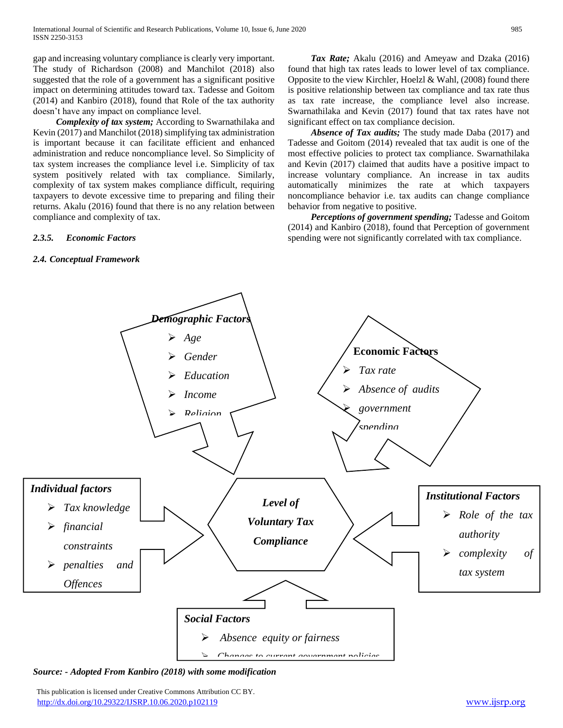gap and increasing voluntary compliance is clearly very important. The study of Richardson (2008) and Manchilot (2018) also suggested that the role of a government has a significant positive impact on determining attitudes toward tax. Tadesse and Goitom (2014) and Kanbiro (2018), found that Role of the tax authority doesn't have any impact on compliance level.

 *Complexity of tax system;* According to Swarnathilaka and Kevin (2017) and Manchilot (2018) simplifying tax administration is important because it can facilitate efficient and enhanced administration and reduce noncompliance level. So Simplicity of tax system increases the compliance level i.e. Simplicity of tax system positively related with tax compliance. Similarly, complexity of tax system makes compliance difficult, requiring taxpayers to devote excessive time to preparing and filing their returns. Akalu (2016) found that there is no any relation between compliance and complexity of tax.

## *2.3.5. Economic Factors*

## *2.4. Conceptual Framework*

 *Tax Rate;* Akalu (2016) and Ameyaw and Dzaka (2016) found that high tax rates leads to lower level of tax compliance. Opposite to the view Kirchler, Hoelzl & Wahl, (2008) found there is positive relationship between tax compliance and tax rate thus as tax rate increase, the compliance level also increase. Swarnathilaka and Kevin (2017) found that tax rates have not significant effect on tax compliance decision.

 *Absence of Tax audits;* The study made Daba (2017) and Tadesse and Goitom (2014) revealed that tax audit is one of the most effective policies to protect tax compliance. Swarnathilaka and Kevin (2017) claimed that audits have a positive impact to increase voluntary compliance. An increase in tax audits automatically minimizes the rate at which taxpayers noncompliance behavior i.e. tax audits can change compliance behavior from negative to positive.

 *Perceptions of government spending;* Tadesse and Goitom (2014) and Kanbiro (2018), found that Perception of government spending were not significantly correlated with tax compliance.



*Source: - Adopted From Kanbiro (2018) with some modification* 

 This publication is licensed under Creative Commons Attribution CC BY. <http://dx.doi.org/10.29322/IJSRP.10.06.2020.p102119> [www.ijsrp.org](http://ijsrp.org/)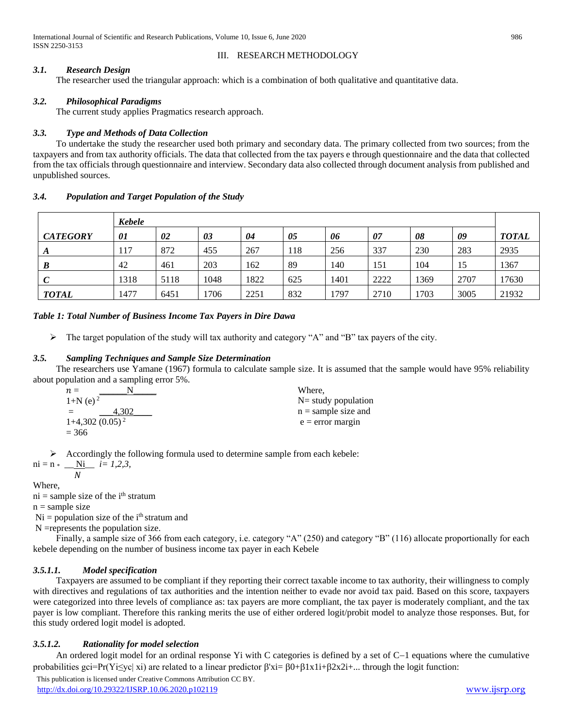International Journal of Scientific and Research Publications, Volume 10, Issue 6, June 2020 986 ISSN 2250-3153

# III. RESEARCH METHODOLOGY

# *3.1. Research Design*

The researcher used the triangular approach: which is a combination of both qualitative and quantitative data.

# *3.2. Philosophical Paradigms*

The current study applies Pragmatics research approach.

# *3.3. Type and Methods of Data Collection*

 To undertake the study the researcher used both primary and secondary data. The primary collected from two sources; from the taxpayers and from tax authority officials. The data that collected from the tax payers e through questionnaire and the data that collected from the tax officials through questionnaire and interview. Secondary data also collected through document analysis from published and unpublished sources.

# *3.4. Population and Target Population of the Study*

|                 | <b>Kebele</b> |      |      |      |     |      |      |      |      |              |
|-----------------|---------------|------|------|------|-----|------|------|------|------|--------------|
| <b>CATEGORY</b> | 01            | 02   | 03   | 04   | 05  | 06   | 07   | 08   | 09   | <b>TOTAL</b> |
|                 | 117           | 872  | 455  | 267  | 118 | 256  | 337  | 230  | 283  | 2935         |
| B               | 42            | 461  | 203  | 162  | 89  | 140  | 151  | 104  | 15   | 1367         |
| $\mathcal{C}$   | 1318          | 5118 | 1048 | 1822 | 625 | 1401 | 2222 | 1369 | 2707 | 17630        |
| <b>TOTAL</b>    | 1477          | 6451 | 1706 | 2251 | 832 | 1797 | 2710 | 1703 | 3005 | 21932        |

# *Table 1: Total Number of Business Income Tax Payers in Dire Dawa*

 $\triangleright$  The target population of the study will tax authority and category "A" and "B" tax payers of the city.

# *3.5. Sampling Techniques and Sample Size Determination*

 The researchers use Yamane (1967) formula to calculate sample size. It is assumed that the sample would have 95% reliability about population and a sampling error 5%.

| $n =$                  | Where.                |
|------------------------|-----------------------|
| $1+N$ (e) <sup>2</sup> | $N=$ study population |
| $+302$<br>$=$          | $n =$ sample size and |
| $1+4,302(0.05)^2$      | $e = error margin$    |
| $= 366$                |                       |

Accordingly the following formula used to determine sample from each kebele:

 $ni = n * \_$  <u>Ni</u>  $i = 1, 2, 3,$ 

 $N$ Where,

 $ni =$  sample size of the  $i<sup>th</sup>$  stratum

 $n =$ sample size

 $Ni = population size of the i<sup>th</sup> stratum and$ 

N =represents the population size.

 Finally, a sample size of 366 from each category, i.e. category "A" (250) and category "B" (116) allocate proportionally for each kebele depending on the number of business income tax payer in each Kebele

# *3.5.1.1. Model specification*

 Taxpayers are assumed to be compliant if they reporting their correct taxable income to tax authority, their willingness to comply with directives and regulations of tax authorities and the intention neither to evade nor avoid tax paid. Based on this score, taxpayers were categorized into three levels of compliance as: tax payers are more compliant, the tax payer is moderately compliant, and the tax payer is low compliant. Therefore this ranking merits the use of either ordered logit/probit model to analyze those responses. But, for this study ordered logit model is adopted.

# *3.5.1.2. Rationality for model selection*

An ordered logit model for an ordinal response Yi with C categories is defined by a set of  $C-1$  equations where the cumulative probabilities gci=Pr(Yi≤yc| xi) are related to a linear predictor  $\beta'$ xi=  $\beta0+\beta1x1i+\beta2x2i+...$  through the logit function: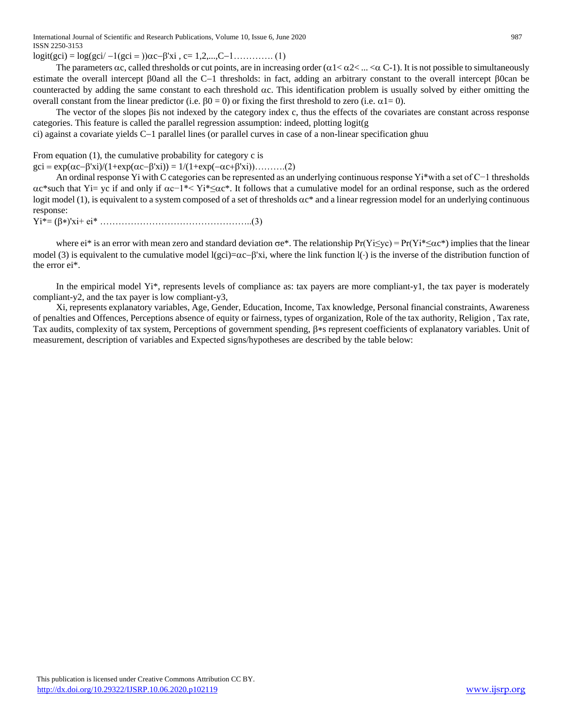International Journal of Scientific and Research Publications, Volume 10, Issue 6, June 2020 987 ISSN 2250-3153

 $logit(gci) = log(gci' - 1(gci =))\alpha c - \beta' xi$ , c= 1,2,...,C-1………. (1)

The parameters  $\alpha c$ , called thresholds or cut points, are in increasing order ( $\alpha 1 < \alpha 2 < ... < \alpha C-1$ ). It is not possible to simultaneously estimate the overall intercept  $\beta$ Oand all the C-1 thresholds: in fact, adding an arbitrary constant to the overall intercept  $\beta$ Ocan be counteracted by adding the same constant to each threshold  $\alpha c$ . This identification problem is usually solved by either omitting the overall constant from the linear predictor (i.e.  $\beta = 0$ ) or fixing the first threshold to zero (i.e.  $\alpha = 0$ ).

The vector of the slopes  $\beta$  is not indexed by the category index c, thus the effects of the covariates are constant across response categories. This feature is called the parallel regression assumption: indeed, plotting  $logit(g)$ 

ci) against a covariate yields  $C-1$  parallel lines (or parallel curves in case of a non-linear specification ghuu

From equation (1), the cumulative probability for category c is

 $\text{gci} = \exp(\alpha c - \beta' \text{xi})/(1 + \exp(\alpha c - \beta' \text{xi})) = 1/(1 + \exp(-\alpha c + \beta' \text{xi})) \dots (2)$ 

 An ordinal response Yi with C categories can be represented as an underlying continuous response Yi\*with a set of C−1 thresholds c\*such that Yi= yc if and only if c−1\*< Yi\*≤c\*. It follows that a cumulative model for an ordinal response, such as the ordered logit model (1), is equivalent to a system composed of a set of thresholds  $\alpha c^*$  and a linear regression model for an underlying continuous response:

Yi\*= ('xi+ ei\* …………………………………………..(3)

where ei\* is an error with mean zero and standard deviation  $\sigma e^*$ . The relationship  $Pr(Y \leq y c) = Pr(Y i^* \leq \alpha c^*)$  implies that the linear model (3) is equivalent to the cumulative model  $\log c$   $-\alpha$ - $\beta$ 'xi, where the link function  $\alpha$ ) is the inverse of the distribution function of the error ei\*.

 In the empirical model Yi\*, represents levels of compliance as: tax payers are more compliant-y1, the tax payer is moderately compliant-y2, and the tax payer is low compliant-y3,

 Xi, represents explanatory variables, Age, Gender, Education, Income, Tax knowledge, Personal financial constraints, Awareness of penalties and Offences, Perceptions absence of equity or fairness, types of organization, Role of the tax authority, Religion , Tax rate, Tax audits, complexity of tax system, Perceptions of government spending,  $\beta * s$  represent coefficients of explanatory variables. Unit of measurement, description of variables and Expected signs/hypotheses are described by the table below: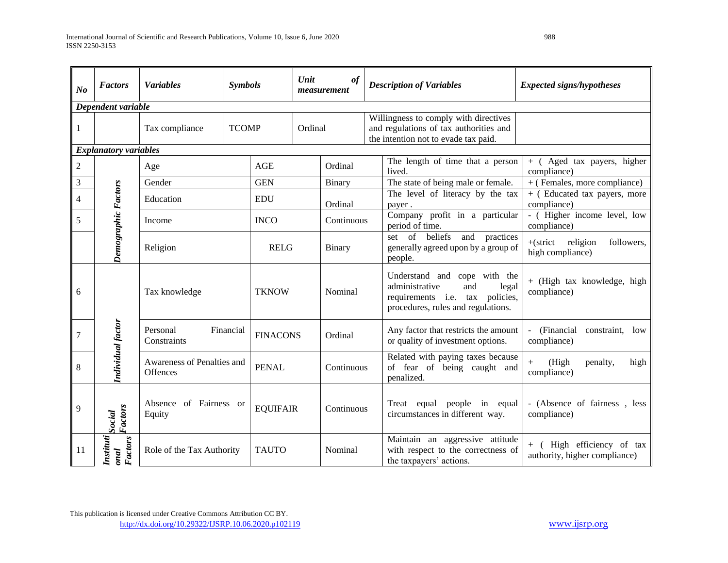| N <sub>o</sub>           | <b>Factors</b>                   | <b>Variables</b>                       | <b>Symbols</b> |                         | Unit                          | of<br>measurement                                                                                |                                                                   | <b>Description of Variables</b>                                                                                                         | <b>Expected signs/hypotheses</b>                      |  |
|--------------------------|----------------------------------|----------------------------------------|----------------|-------------------------|-------------------------------|--------------------------------------------------------------------------------------------------|-------------------------------------------------------------------|-----------------------------------------------------------------------------------------------------------------------------------------|-------------------------------------------------------|--|
| Dependent variable       |                                  |                                        |                |                         |                               |                                                                                                  |                                                                   |                                                                                                                                         |                                                       |  |
| 1                        |                                  | Tax compliance<br><b>TCOMP</b>         |                | Ordinal                 |                               |                                                                                                  |                                                                   | Willingness to comply with directives<br>and regulations of tax authorities and<br>the intention not to evade tax paid.                 |                                                       |  |
|                          | <b>Explanatory variables</b>     |                                        |                |                         |                               |                                                                                                  |                                                                   |                                                                                                                                         |                                                       |  |
| $\overline{2}$           |                                  | Age                                    |                | AGE                     |                               | Ordinal                                                                                          |                                                                   | The length of time that a person<br>lived.                                                                                              | + (Aged tax payers, higher<br>compliance)             |  |
| 3                        |                                  | Gender                                 |                | <b>GEN</b>              |                               | Binary                                                                                           |                                                                   | The state of being male or female.                                                                                                      | + (Females, more compliance)                          |  |
| $\overline{\mathcal{A}}$ |                                  | Education                              |                | <b>EDU</b>              |                               | Ordinal                                                                                          |                                                                   | The level of literacy by the tax<br>payer.                                                                                              | $+$ (Educated tax payers, more<br>compliance)         |  |
| 5                        |                                  | Income<br>Religion                     |                | <b>INCO</b>             |                               | Continuous                                                                                       |                                                                   | Company profit in a particular<br>period of time.                                                                                       | - (Higher income level, low<br>compliance)            |  |
|                          | Demographic Factors              |                                        |                | <b>RELG</b>             |                               | <b>Binary</b>                                                                                    |                                                                   | set of beliefs<br>and practices<br>generally agreed upon by a group of<br>people.                                                       | $+(strict$ religion<br>followers,<br>high compliance) |  |
| 6                        |                                  | Tax knowledge                          |                | <b>TKNOW</b>            |                               | Nominal                                                                                          |                                                                   | Understand and cope with the<br>administrative<br>legal<br>and<br>requirements i.e. tax policies,<br>procedures, rules and regulations. | + (High tax knowledge, high<br>compliance)            |  |
| $\overline{7}$           | Individual factor                | Personal<br>Constraints                | Financial      | <b>FINACONS</b>         |                               | Ordinal                                                                                          |                                                                   | Any factor that restricts the amount<br>or quality of investment options.                                                               | (Financial<br>constraint,<br>low<br>compliance)       |  |
| $\,8\,$                  |                                  | Awareness of Penalties and<br>Offences |                | <b>PENAL</b>            |                               | Continuous                                                                                       |                                                                   | Related with paying taxes because<br>of fear of being caught and<br>penalized.                                                          | $+$<br>(High<br>penalty,<br>high<br>compliance)       |  |
| 9                        | <b>Factors</b><br>Social         | Absence of Fairness or<br>Equity       |                |                         | <b>EQUIFAIR</b><br>Continuous |                                                                                                  | equal people in equal<br>Treat<br>circumstances in different way. |                                                                                                                                         | - (Absence of fairness, less<br>compliance)           |  |
| 11                       | Instituti<br><b>Factors</b><br>i | Role of the Tax Authority              |                | <b>TAUTO</b><br>Nominal |                               | Maintain an aggressive attitude<br>with respect to the correctness of<br>the taxpayers' actions. |                                                                   | + ( High efficiency of tax<br>authority, higher compliance)                                                                             |                                                       |  |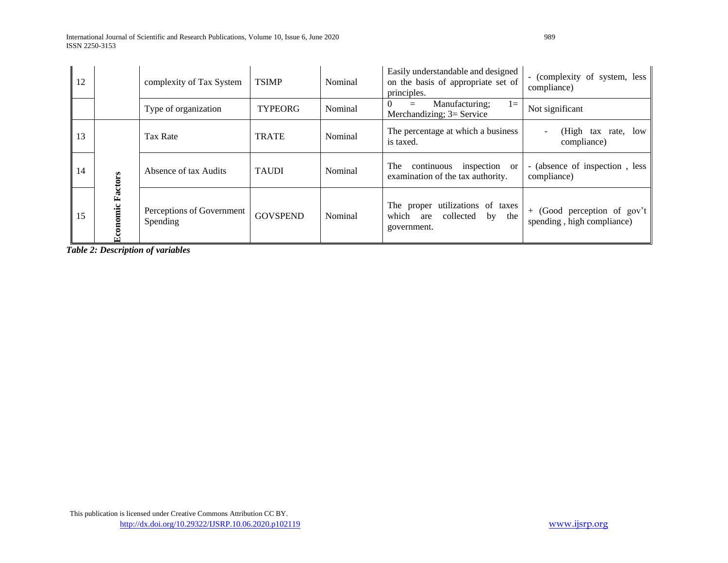International Journal of Scientific and Research Publications, Volume 10, Issue 6, June 2020 989 ISSN 2250-3153

| 12 |              | complexity of Tax System              | <b>TSIMP</b><br>Nominal |         | Easily understandable and designed<br>on the basis of appropriate set of<br>principles. | - (complexity of system, less<br>compliance)              |
|----|--------------|---------------------------------------|-------------------------|---------|-----------------------------------------------------------------------------------------|-----------------------------------------------------------|
|    |              | Type of organization                  | <b>TYPEORG</b>          | Nominal | Manufacturing;<br>$l =$<br>$=$<br>Merchandizing; 3= Service                             | Not significant                                           |
| 13 |              | Tax Rate                              | <b>TRATE</b>            | Nominal | The percentage at which a business<br>is taxed.                                         | (High tax rate, low<br>compliance)                        |
| 14 |              | Absence of tax Audits                 | <b>TAUDI</b>            | Nominal | inspection<br>continuous<br>The<br><sub>or</sub><br>examination of the tax authority.   | - (absence of inspection, less<br>compliance)             |
| 15 | omic Factors | Perceptions of Government<br>Spending | <b>GOVSPEND</b>         | Nominal | The proper utilizations of taxes<br>which<br>collected<br>by the<br>are<br>government.  | + (Good perception of gov't<br>spending, high compliance) |

*Table 2: Description of variables*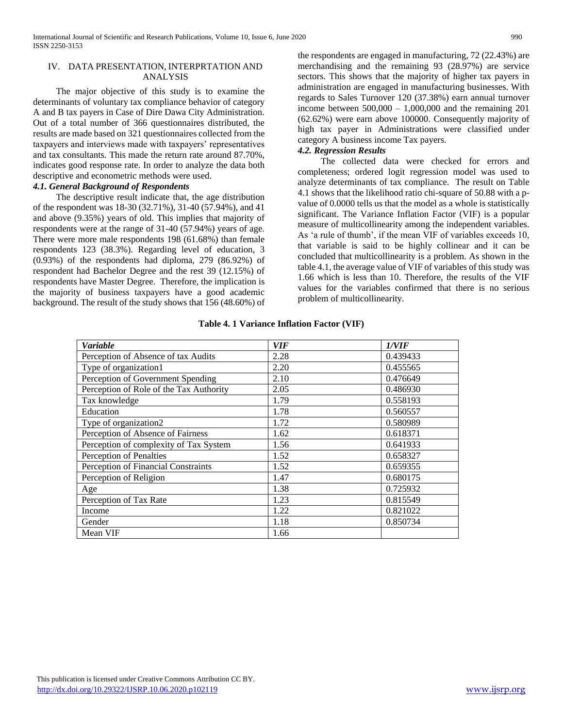## IV. DATA PRESENTATION, INTERPRTATION AND ANALYSIS

 The major objective of this study is to examine the determinants of voluntary tax compliance behavior of category A and B tax payers in Case of Dire Dawa City Administration. Out of a total number of 366 questionnaires distributed, the results are made based on 321 questionnaires collected from the taxpayers and interviews made with taxpayers' representatives and tax consultants. This made the return rate around 87.70%, indicates good response rate. In order to analyze the data both descriptive and econometric methods were used.

## *4.1. General Background of Respondents*

 The descriptive result indicate that, the age distribution of the respondent was 18-30 (32.71%), 31-40 (57.94%), and 41 and above (9.35%) years of old. This implies that majority of respondents were at the range of 31-40 (57.94%) years of age. There were more male respondents 198 (61.68%) than female respondents 123 (38.3%). Regarding level of education, 3 (0.93%) of the respondents had diploma, 279 (86.92%) of respondent had Bachelor Degree and the rest 39 (12.15%) of respondents have Master Degree. Therefore, the implication is the majority of business taxpayers have a good academic background. The result of the study shows that 156 (48.60%) of

the respondents are engaged in manufacturing, 72 (22.43%) are merchandising and the remaining 93 (28.97%) are service sectors. This shows that the majority of higher tax payers in administration are engaged in manufacturing businesses. With regards to Sales Turnover 120 (37.38%) earn annual turnover income between  $500,000 - 1,000,000$  and the remaining 201 (62.62%) were earn above 100000. Consequently majority of high tax payer in Administrations were classified under category A business income Tax payers.

# *4.2. Regression Results*

 The collected data were checked for errors and completeness; ordered logit regression model was used to analyze determinants of tax compliance. The result on Table 4.1 shows that the likelihood ratio chi-square of 50.88 with a pvalue of 0.0000 tells us that the model as a whole is statistically significant. The Variance Inflation Factor (VIF) is a popular measure of multicollinearity among the independent variables. As 'a rule of thumb', if the mean VIF of variables exceeds 10, that variable is said to be highly collinear and it can be concluded that multicollinearity is a problem. As shown in the table 4.1, the average value of VIF of variables of this study was 1.66 which is less than 10. Therefore, the results of the VIF values for the variables confirmed that there is no serious problem of multicollinearity.

| <b>Variable</b>                         | <b>VIF</b> | 1/VIF    |
|-----------------------------------------|------------|----------|
| Perception of Absence of tax Audits     | 2.28       | 0.439433 |
| Type of organization1                   | 2.20       | 0.455565 |
| Perception of Government Spending       | 2.10       | 0.476649 |
| Perception of Role of the Tax Authority | 2.05       | 0.486930 |
| Tax knowledge                           | 1.79       | 0.558193 |
| Education                               | 1.78       | 0.560557 |
| Type of organization2                   | 1.72       | 0.580989 |
| Perception of Absence of Fairness       | 1.62       | 0.618371 |
| Perception of complexity of Tax System  | 1.56       | 0.641933 |
| Perception of Penalties                 | 1.52       | 0.658327 |
| Perception of Financial Constraints     | 1.52       | 0.659355 |
| Perception of Religion                  | 1.47       | 0.680175 |
| Age                                     | 1.38       | 0.725932 |
| Perception of Tax Rate                  | 1.23       | 0.815549 |
| Income                                  | 1.22       | 0.821022 |
| Gender                                  | 1.18       | 0.850734 |
| Mean VIF                                | 1.66       |          |

#### **Table 4. 1 Variance Inflation Factor (VIF)**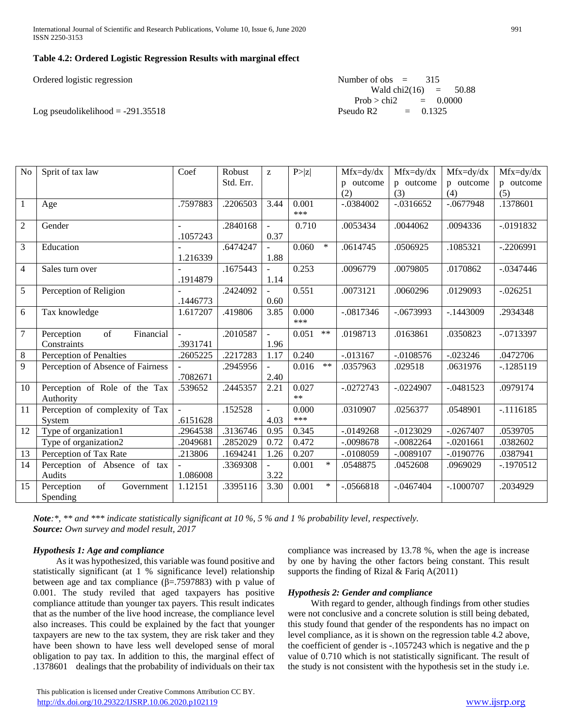International Journal of Scientific and Research Publications, Volume 10, Issue 6, June 2020 991 ISSN 2250-3153

## **Table 4.2: Ordered Logistic Regression Results with marginal effect**

| Ordered logistic regression         | Number of obs $=$ 315   |
|-------------------------------------|-------------------------|
|                                     | Wald chi2(16) = $50.88$ |
|                                     | Prob > chi2 = $0.0000$  |
| Log pseudolikelihood = $-291.35518$ | Pseudo R2 $= 0.1325$    |

| N <sub>o</sub> | Sprit of tax law                  | Coef     | Robust    | $\mathbf{Z}$             | P >  z |        | $Mfx=dy/dx$ | $Mfx=dy/dx$  | $Mfx=dy/dx$ | $Mfx=dy/dx$ |
|----------------|-----------------------------------|----------|-----------|--------------------------|--------|--------|-------------|--------------|-------------|-------------|
|                |                                   |          | Std. Err. |                          |        |        | p outcome   | p outcome    | p outcome   | p outcome   |
|                |                                   |          |           |                          |        |        | (2)         | (3)          | (4)         | (5)         |
| $\mathbf{1}$   | Age                               | .7597883 | .2206503  | 3.44                     | 0.001  |        | $-.0384002$ | $-.0316652$  | $-.0677948$ | .1378601    |
|                |                                   |          |           |                          | ***    |        |             |              |             |             |
| $\overline{2}$ | Gender                            |          | .2840168  | $\bar{\phantom{a}}$      | 0.710  |        | .0053434    | .0044062     | .0094336    | $-.0191832$ |
|                |                                   | .1057243 |           | 0.37                     |        |        |             |              |             |             |
| 3              | Education                         |          | .6474247  | $\equiv$                 | 0.060  | $\ast$ | .0614745    | .0506925     | .1085321    | $-.2206991$ |
|                |                                   | 1.216339 |           | 1.88                     |        |        |             |              |             |             |
| $\overline{4}$ | Sales turn over                   |          | .1675443  | $\overline{\phantom{a}}$ | 0.253  |        | .0096779    | .0079805     | .0170862    | $-.0347446$ |
|                |                                   | .1914879 |           | 1.14                     |        |        |             |              |             |             |
| $\overline{5}$ | Perception of Religion            |          | .2424092  | $\equiv$                 | 0.551  |        | .0073121    | .0060296     | .0129093    | $-.026251$  |
|                |                                   | .1446773 |           | 0.60                     |        |        |             |              |             |             |
| $\overline{6}$ | Tax knowledge                     | 1.617207 | .419806   | 3.85                     | 0.000  |        | $-.0817346$ | $-.0673993$  | $-.1443009$ | .2934348    |
|                |                                   |          |           |                          | ***    |        |             |              |             |             |
| $\overline{7}$ | of<br>Financial<br>Perception     |          | .2010587  | $\overline{\phantom{a}}$ | 0.051  | $**$   | .0198713    | .0163861     | .0350823    | $-.0713397$ |
|                | Constraints                       | .3931741 |           | 1.96                     |        |        |             |              |             |             |
| $\, 8$         | Perception of Penalties           | .2605225 | .2217283  | 1.17                     | 0.240  |        | $-.013167$  | $-.0108576$  | $-0.023246$ | .0472706    |
| 9              | Perception of Absence of Fairness |          | .2945956  | $\sim$                   | 0.016  | $**$   | .0357963    | .029518      | .0631976    | $-.1285119$ |
|                |                                   | .7082671 |           | 2.40                     |        |        |             |              |             |             |
| 10             | Perception of Role of the Tax     | .539652  | .2445357  | 2.21                     | 0.027  |        | $-.0272743$ | $-.0224907$  | $-.0481523$ | .0979174    |
|                | Authority                         |          |           |                          | $**$   |        |             |              |             |             |
| 11             | Perception of complexity of Tax   |          | .152528   | $\blacksquare$           | 0.000  |        | .0310907    | .0256377     | .0548901    | $-1116185$  |
|                | System                            | .6151628 |           | 4.03                     | $***$  |        |             |              |             |             |
| 12             | Type of organization1             | .2964538 | .3136746  | 0.95                     | 0.345  |        | $-.0149268$ | $-0.0123029$ | $-.0267407$ | .0539705    |
|                | Type of organization <sub>2</sub> | .2049681 | .2852029  | 0.72                     | 0.472  |        | $-.0098678$ | $-.0082264$  | $-.0201661$ | .0382602    |
| 13             | Perception of Tax Rate            | .213806  | .1694241  | 1.26                     | 0.207  |        | $-.0108059$ | $-.0089107$  | $-.0190776$ | .0387941    |
| 14             | Perception of Absence of tax      |          | .3369308  |                          | 0.001  | $\ast$ | .0548875    | .0452608     | .0969029    | $-1970512$  |
|                | Audits                            | 1.086008 |           | 3.22                     |        |        |             |              |             |             |
| 15             | Perception<br>of<br>Government    | 1.12151  | .3395116  | 3.30                     | 0.001  | $\ast$ | $-.0566818$ | $-.0467404$  | $-.1000707$ | .2034929    |
|                | Spending                          |          |           |                          |        |        |             |              |             |             |
|                |                                   |          |           |                          |        |        |             |              |             |             |

*Note:\*, \*\* and \*\*\* indicate statistically significant at 10 %, 5 % and 1 % probability level, respectively. Source: Own survey and model result, 2017*

#### *Hypothesis 1: Age and compliance*

 As it was hypothesized, this variable was found positive and statistically significant (at 1 % significance level) relationship between age and tax compliance ( $\beta$ =.7597883) with p value of 0.001. The study reviled that aged taxpayers has positive compliance attitude than younger tax payers. This result indicates that as the number of the live hood increase, the compliance level also increases. This could be explained by the fact that younger taxpayers are new to the tax system, they are risk taker and they have been shown to have less well developed sense of moral obligation to pay tax. In addition to this, the marginal effect of .1378601 dealings that the probability of individuals on their tax compliance was increased by 13.78 %, when the age is increase by one by having the other factors being constant. This result supports the finding of Rizal & Fariq A(2011)

## *Hypothesis 2: Gender and compliance*

 With regard to gender, although findings from other studies were not conclusive and a concrete solution is still being debated, this study found that gender of the respondents has no impact on level compliance, as it is shown on the regression table 4.2 above, the coefficient of gender is -.1057243 which is negative and the p value of 0.710 which is not statistically significant. The result of the study is not consistent with the hypothesis set in the study i.e.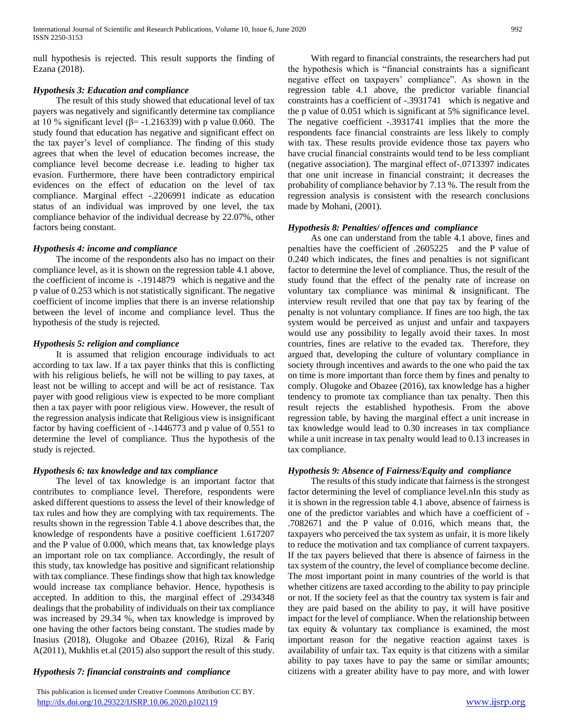null hypothesis is rejected. This result supports the finding of Ezana (2018).

## *Hypothesis 3: Education and compliance*

 The result of this study showed that educational level of tax payers was negatively and significantly determine tax compliance at 10 % significant level ( $\beta$ = -1.216339) with p value 0.060. The study found that education has negative and significant effect on the tax payer's level of compliance. The finding of this study agrees that when the level of education becomes increase, the compliance level become decrease i.e. leading to higher tax evasion. Furthermore, there have been contradictory empirical evidences on the effect of education on the level of tax compliance. Marginal effect -.2206991 indicate as education status of an individual was improved by one level, the tax compliance behavior of the individual decrease by 22.07%, other factors being constant.

## *Hypothesis 4: income and compliance*

 The income of the respondents also has no impact on their compliance level, as it is shown on the regression table 4.1 above, the coefficient of income is -.1914879 which is negative and the p value of 0.253 which is not statistically significant. The negative coefficient of income implies that there is an inverse relationship between the level of income and compliance level. Thus the hypothesis of the study is rejected.

## *Hypothesis 5: religion and compliance*

 It is assumed that religion encourage individuals to act according to tax law. If a tax payer thinks that this is conflicting with his religious beliefs, he will not be willing to pay taxes, at least not be willing to accept and will be act of resistance. Tax payer with good religious view is expected to be more compliant then a tax payer with poor religious view. However, the result of the regression analysis indicate that Religious view is insignificant factor by having coefficient of -.1446773 and p value of 0.551 to determine the level of compliance. Thus the hypothesis of the study is rejected.

# *Hypothesis 6: tax knowledge and tax compliance*

 The level of tax knowledge is an important factor that contributes to compliance level. Therefore, respondents were asked different questions to assess the level of their knowledge of tax rules and how they are complying with tax requirements. The results shown in the regression Table 4.1 above describes that, the knowledge of respondents have a positive coefficient 1.617207 and the P value of 0.000, which means that, tax knowledge plays an important role on tax compliance. Accordingly, the result of this study, tax knowledge has positive and significant relationship with tax compliance. These findings show that high tax knowledge would increase tax compliance behavior. Hence, hypothesis is accepted. In addition to this, the marginal effect of .2934348 dealings that the probability of individuals on their tax compliance was increased by 29.34 %, when tax knowledge is improved by one having the other factors being constant. The studies made by Inasius (2018), Olugoke and Obazee (2016), Rizal & Fariq A(2011), Mukhlis et.al (2015) also support the result of this study.

## *Hypothesis 7: financial constraints and compliance*

 This publication is licensed under Creative Commons Attribution CC BY. <http://dx.doi.org/10.29322/IJSRP.10.06.2020.p102119> [www.ijsrp.org](http://ijsrp.org/)

 With regard to financial constraints, the researchers had put the hypothesis which is "financial constraints has a significant negative effect on taxpayers' compliance". As shown in the regression table 4.1 above, the predictor variable financial constraints has a coefficient of -.3931741 which is negative and the p value of 0.051 which is significant at 5% significance level. The negative coefficient -.3931741 implies that the more the respondents face financial constraints are less likely to comply with tax. These results provide evidence those tax payers who have crucial financial constraints would tend to be less compliant (negative association). The marginal effect of-.0713397 indicates that one unit increase in financial constraint; it decreases the probability of compliance behavior by 7.13 %. The result from the regression analysis is consistent with the research conclusions made by Mohani, (2001).

## *Hypothesis 8: Penalties/ offences and compliance*

 As one can understand from the table 4.1 above, fines and penalties have the coefficient of .2605225 and the P value of 0.240 which indicates, the fines and penalties is not significant factor to determine the level of compliance. Thus, the result of the study found that the effect of the penalty rate of increase on voluntary tax compliance was minimal & insignificant. The interview result reviled that one that pay tax by fearing of the penalty is not voluntary compliance. If fines are too high, the tax system would be perceived as unjust and unfair and taxpayers would use any possibility to legally avoid their taxes. In most countries, fines are relative to the evaded tax. Therefore, they argued that, developing the culture of voluntary compliance in society through incentives and awards to the one who paid the tax on time is more important than force them by fines and penalty to comply. Olugoke and Obazee (2016), tax knowledge has a higher tendency to promote tax compliance than tax penalty. Then this result rejects the established hypothesis. From the above regression table, by having the marginal effect a unit increase in tax knowledge would lead to 0.30 increases in tax compliance while a unit increase in tax penalty would lead to 0.13 increases in tax compliance.

# *Hypothesis 9: Absence of Fairness/Equity and compliance*

 The results of this study indicate that fairness is the strongest factor determining the level of compliance level.nIn this study as it is shown in the regression table 4.1 above, absence of fairness is one of the predictor variables and which have a coefficient of - .7082671 and the P value of 0.016, which means that, the taxpayers who perceived the tax system as unfair, it is more likely to reduce the motivation and tax compliance of current taxpayers. If the tax payers believed that there is absence of fairness in the tax system of the country, the level of compliance become decline. The most important point in many countries of the world is that whether citizens are taxed according to the ability to pay principle or not. If the society feel as that the country tax system is fair and they are paid based on the ability to pay, it will have positive impact for the level of compliance. When the relationship between tax equity & voluntary tax compliance is examined, the most important reason for the negative reaction against taxes is availability of unfair tax. Tax equity is that citizens with a similar ability to pay taxes have to pay the same or similar amounts; citizens with a greater ability have to pay more, and with lower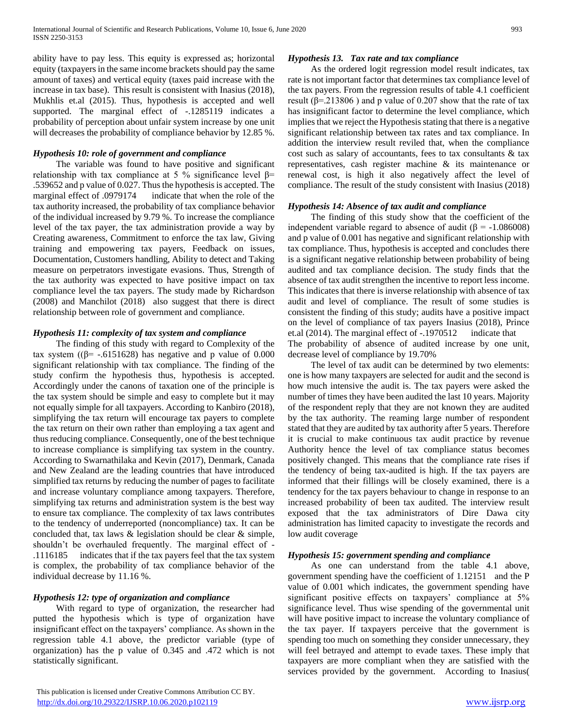ability have to pay less. This equity is expressed as; horizontal equity (taxpayers in the same income brackets should pay the same amount of taxes) and vertical equity (taxes paid increase with the increase in tax base). This result is consistent with Inasius (2018), Mukhlis et.al (2015). Thus, hypothesis is accepted and well supported. The marginal effect of -.1285119 indicates a probability of perception about unfair system increase by one unit will decreases the probability of compliance behavior by 12.85 %.

## *Hypothesis 10: role of government and compliance*

 The variable was found to have positive and significant relationship with tax compliance at 5 % significance level  $β=$ .539652 and p value of 0.027. Thus the hypothesis is accepted. The marginal effect of .0979174 indicate that when the role of the tax authority increased, the probability of tax compliance behavior of the individual increased by 9.79 %. To increase the compliance level of the tax payer, the tax administration provide a way by Creating awareness, Commitment to enforce the tax law, Giving training and empowering tax payers, Feedback on issues, Documentation, Customers handling, Ability to detect and Taking measure on perpetrators investigate evasions. Thus, Strength of the tax authority was expected to have positive impact on tax compliance level the tax payers. The study made by Richardson (2008) and Manchilot (2018) also suggest that there is direct relationship between role of government and compliance.

## *Hypothesis 11: complexity of tax system and compliance*

 The finding of this study with regard to Complexity of the tax system ( $(β = -.6151628)$  has negative and p value of 0.000 significant relationship with tax compliance. The finding of the study confirm the hypothesis thus, hypothesis is accepted. Accordingly under the canons of taxation one of the principle is the tax system should be simple and easy to complete but it may not equally simple for all taxpayers. According to Kanbiro (2018), simplifying the tax return will encourage tax payers to complete the tax return on their own rather than employing a tax agent and thus reducing compliance. Consequently, one of the best technique to increase compliance is simplifying tax system in the country. According to Swarnathilaka and Kevin (2017), Denmark, Canada and New Zealand are the leading countries that have introduced simplified tax returns by reducing the number of pages to facilitate and increase voluntary compliance among taxpayers. Therefore, simplifying tax returns and administration system is the best way to ensure tax compliance. The complexity of tax laws contributes to the tendency of underreported (noncompliance) tax. It can be concluded that, tax laws & legislation should be clear & simple, shouldn't be overhauled frequently. The marginal effect of - .1116185 indicates that if the tax payers feel that the tax system is complex, the probability of tax compliance behavior of the individual decrease by 11.16 %.

# *Hypothesis 12: type of organization and compliance*

 With regard to type of organization, the researcher had putted the hypothesis which is type of organization have insignificant effect on the taxpayers' compliance. As shown in the regression table 4.1 above, the predictor variable (type of organization) has the p value of 0.345 and .472 which is not statistically significant.

## *Hypothesis 13. Tax rate and tax compliance*

 As the ordered logit regression model result indicates, tax rate is not important factor that determines tax compliance level of the tax payers. From the regression results of table 4.1 coefficient result ( $\beta$ =.213806) and p value of 0.207 show that the rate of tax has insignificant factor to determine the level compliance, which implies that we reject the Hypothesis stating that there is a negative significant relationship between tax rates and tax compliance. In addition the interview result reviled that, when the compliance cost such as salary of accountants, fees to tax consultants & tax representatives, cash register machine & its maintenance or renewal cost, is high it also negatively affect the level of compliance. The result of the study consistent with Inasius (2018)

#### *Hypothesis 14: Absence of tax audit and compliance*

 The finding of this study show that the coefficient of the independent variable regard to absence of audit ( $\beta$  = -1.086008) and p value of 0.001 has negative and significant relationship with tax compliance. Thus, hypothesis is accepted and concludes there is a significant negative relationship between probability of being audited and tax compliance decision. The study finds that the absence of tax audit strengthen the incentive to report less income. This indicates that there is inverse relationship with absence of tax audit and level of compliance. The result of some studies is consistent the finding of this study; audits have a positive impact on the level of compliance of tax payers Inasius (2018), Prince et.al (2014). The marginal effect of -.1970512 indicate that The probability of absence of audited increase by one unit, decrease level of compliance by 19.70%

 The level of tax audit can be determined by two elements: one is how many taxpayers are selected for audit and the second is how much intensive the audit is. The tax payers were asked the number of times they have been audited the last 10 years. Majority of the respondent reply that they are not known they are audited by the tax authority. The reaming large number of respondent stated that they are audited by tax authority after 5 years. Therefore it is crucial to make continuous tax audit practice by revenue Authority hence the level of tax compliance status becomes positively changed. This means that the compliance rate rises if the tendency of being tax-audited is high. If the tax payers are informed that their fillings will be closely examined, there is a tendency for the tax payers behaviour to change in response to an increased probability of been tax audited. The interview result exposed that the tax administrators of Dire Dawa city administration has limited capacity to investigate the records and low audit coverage

## *Hypothesis 15: government spending and compliance*

 As one can understand from the table 4.1 above, government spending have the coefficient of 1.12151 and the P value of 0.001 which indicates, the government spending have significant positive effects on taxpayers' compliance at 5% significance level. Thus wise spending of the governmental unit will have positive impact to increase the voluntary compliance of the tax payer. If taxpayers perceive that the government is spending too much on something they consider unnecessary, they will feel betrayed and attempt to evade taxes. These imply that taxpayers are more compliant when they are satisfied with the services provided by the government. According to Inasius(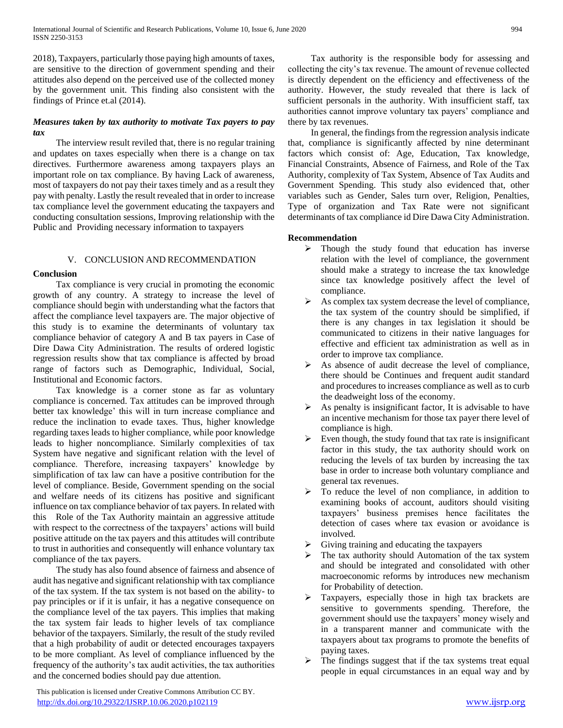2018), Taxpayers, particularly those paying high amounts of taxes, are sensitive to the direction of government spending and their attitudes also depend on the perceived use of the collected money by the government unit. This finding also consistent with the findings of Prince et.al (2014).

# *Measures taken by tax authority to motivate Tax payers to pay tax*

 The interview result reviled that, there is no regular training and updates on taxes especially when there is a change on tax directives. Furthermore awareness among taxpayers plays an important role on tax compliance. By having Lack of awareness, most of taxpayers do not pay their taxes timely and as a result they pay with penalty. Lastly the result revealed that in order to increase tax compliance level the government educating the taxpayers and conducting consultation sessions, Improving relationship with the Public and Providing necessary information to taxpayers

# V. CONCLUSION AND RECOMMENDATION

# **Conclusion**

 Tax compliance is very crucial in promoting the economic growth of any country. A strategy to increase the level of compliance should begin with understanding what the factors that affect the compliance level taxpayers are. The major objective of this study is to examine the determinants of voluntary tax compliance behavior of category A and B tax payers in Case of Dire Dawa City Administration. The results of ordered logistic regression results show that tax compliance is affected by broad range of factors such as Demographic, Individual, Social, Institutional and Economic factors.

 Tax knowledge is a corner stone as far as voluntary compliance is concerned. Tax attitudes can be improved through better tax knowledge' this will in turn increase compliance and reduce the inclination to evade taxes. Thus, higher knowledge regarding taxes leads to higher compliance, while poor knowledge leads to higher noncompliance. Similarly complexities of tax System have negative and significant relation with the level of compliance. Therefore, increasing taxpayers' knowledge by simplification of tax law can have a positive contribution for the level of compliance. Beside, Government spending on the social and welfare needs of its citizens has positive and significant influence on tax compliance behavior of tax payers. In related with this Role of the Tax Authority maintain an aggressive attitude with respect to the correctness of the taxpayers' actions will build positive attitude on the tax payers and this attitudes will contribute to trust in authorities and consequently will enhance voluntary tax compliance of the tax payers.

 The study has also found absence of fairness and absence of audit has negative and significant relationship with tax compliance of the tax system. If the tax system is not based on the ability- to pay principles or if it is unfair, it has a negative consequence on the compliance level of the tax payers. This implies that making the tax system fair leads to higher levels of tax compliance behavior of the taxpayers. Similarly, the result of the study reviled that a high probability of audit or detected encourages taxpayers to be more compliant. As level of compliance influenced by the frequency of the authority's tax audit activities, the tax authorities and the concerned bodies should pay due attention.

 This publication is licensed under Creative Commons Attribution CC BY. <http://dx.doi.org/10.29322/IJSRP.10.06.2020.p102119> [www.ijsrp.org](http://ijsrp.org/)

 Tax authority is the responsible body for assessing and collecting the city's tax revenue. The amount of revenue collected is directly dependent on the efficiency and effectiveness of the authority. However, the study revealed that there is lack of sufficient personals in the authority. With insufficient staff, tax authorities cannot improve voluntary tax payers' compliance and there by tax revenues.

 In general, the findings from the regression analysis indicate that, compliance is significantly affected by nine determinant factors which consist of: Age, Education, Tax knowledge, Financial Constraints, Absence of Fairness, and Role of the Tax Authority, complexity of Tax System, Absence of Tax Audits and Government Spending. This study also evidenced that, other variables such as Gender, Sales turn over, Religion, Penalties, Type of organization and Tax Rate were not significant determinants of tax compliance id Dire Dawa City Administration.

## **Recommendation**

- $\triangleright$  Though the study found that education has inverse relation with the level of compliance, the government should make a strategy to increase the tax knowledge since tax knowledge positively affect the level of compliance.
- $\triangleright$  As complex tax system decrease the level of compliance, the tax system of the country should be simplified, if there is any changes in tax legislation it should be communicated to citizens in their native languages for effective and efficient tax administration as well as in order to improve tax compliance.
- $\triangleright$  As absence of audit decrease the level of compliance, there should be Continues and frequent audit standard and procedures to increases compliance as well as to curb the deadweight loss of the economy.
- $\triangleright$  As penalty is insignificant factor, It is advisable to have an incentive mechanism for those tax payer there level of compliance is high.
- Even though, the study found that tax rate is insignificant factor in this study, the tax authority should work on reducing the levels of tax burden by increasing the tax base in order to increase both voluntary compliance and general tax revenues.
- $\triangleright$  To reduce the level of non compliance, in addition to examining books of account, auditors should visiting taxpayers' business premises hence facilitates the detection of cases where tax evasion or avoidance is involved.
- $\triangleright$  Giving training and educating the taxpayers
- The tax authority should Automation of the tax system and should be integrated and consolidated with other macroeconomic reforms by introduces new mechanism for Probability of detection.
- Taxpayers, especially those in high tax brackets are sensitive to governments spending. Therefore, the government should use the taxpayers' money wisely and in a transparent manner and communicate with the taxpayers about tax programs to promote the benefits of paying taxes.
- $\triangleright$  The findings suggest that if the tax systems treat equal people in equal circumstances in an equal way and by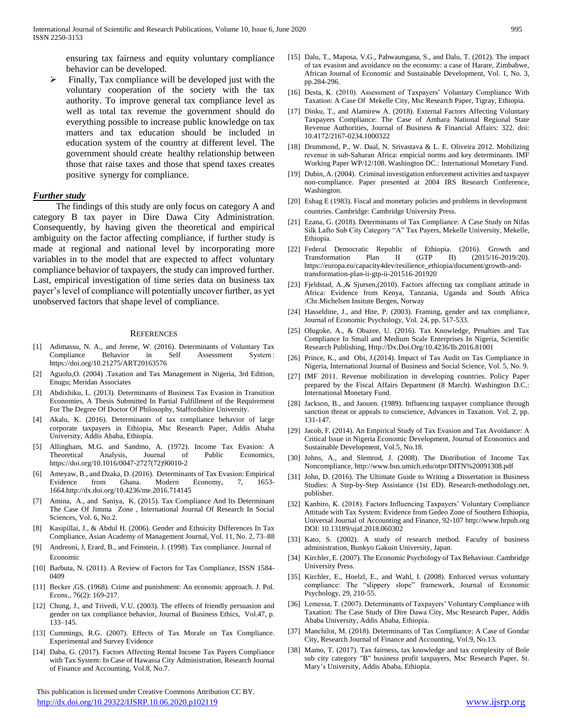ensuring tax fairness and equity voluntary compliance behavior can be developed.

 $\triangleright$  Finally, Tax compliance will be developed just with the voluntary cooperation of the society with the tax authority. To improve general tax compliance level as well as total tax revenue the government should do everything possible to increase public knowledge on tax matters and tax education should be included in education system of the country at different level. The government should create healthy relationship between those that raise taxes and those that spend taxes creates positive synergy for compliance.

#### *Further study*

 The findings of this study are only focus on category A and category B tax payer in Dire Dawa City Administration. Consequently, by having given the theoretical and empirical ambiguity on the factor affecting compliance, if further study is made at regional and national level by incorporating more variables in to the model that are expected to affect voluntary compliance behavior of taxpayers, the study can improved further. Last, empirical investigation of time series data on business tax payer's level of compliance will potentially uncover further, as yet unobserved factors that shape level of compliance.

#### **REFERENCES**

- [1] Adimassu, N. A., and Jerene, W. (2016). Determinants of Voluntary Tax Compliance Behavior in Self Assessment System : https://doi.org/10.21275/ART20163576
- [2] Aguolu,O. (2004) .Taxation and Tax Management in Nigeria, 3rd Edition, Enugu; Meridan Associates
- [3] Abdixhiku, L. (2013). Determinants of Business Tax Evasion in Transition Economies, A Thesis Submitted In Partial Fulfillment of the Requirement For The Degree Of Doctor Of Philosophy, Staffordshire University.
- [4] Akalu, K. (2016). Determinants of tax compliance behavior of large corporate taxpayers in Ethiopia, Msc Research Paper, Addis Ababa University, Addis Ababa, Ethiopia.
- [5] Allingham, M.G. and Sandmo, A. (1972). Income Tax Evasion: A Theoretical Analysis, Journal of Public Economics, https://doi.org/10.1016/0047-2727(72)90010-2
- [6] Ameyaw, B., and Dzaka, D. (2016). Determinants of Tax Evasion: Empirical Evidence from Ghana. Modern Economy, 7, 1653- 1664.http://dx.doi.org/10.4236/me.2016.714145
- [7] Amina, A., and Saniya, K. (2015). Tax Compliance And Its Determinant The Case Of Jimma Zone , International Journal Of Research In Social Sciences, Vol. 6, No.2.
- [8] Kasipillai, J., & Abdul H. (2006). Gender and Ethnicity Differences In Tax Compliance, Asian Academy of Management Journal, Vol. 11, No. 2, 73–88
- [9] Andreoni, J, Erard, B., and Feinstein, J. (1998). Tax compliance. Journal of Economic
- [10] Barbuta, N. (2011). A Review of Factors for Tax Compliance, ISSN 1584- 0409
- [11] Becker , GS. (1968). Crime and punishment: An economic approach. J. Pol. Econs., 76(2): 169-217.
- [12] Chung, J., and Trivedi, V.U. (2003). The effects of friendly persuasion and gender on tax compliance behavior, Journal of Business Ethics, Vol.47, p. 133–145.
- [13] Cummings, R.G. (2007). Effects of Tax Morale on Tax Compliance. Experimental and Survey Evidence
- [14] Daba, G. (2017). Factors Affecting Rental Income Tax Payers Compliance with Tax System: In Case of Hawassa City Administration, Research Journal of Finance and Accounting, Vol.8, No.7.

 This publication is licensed under Creative Commons Attribution CC BY. <http://dx.doi.org/10.29322/IJSRP.10.06.2020.p102119> [www.ijsrp.org](http://ijsrp.org/)

- [15] Dalu, T., Maposa, V.G., Pabwaungana, S., and Dalu, T. (2012). The impact of tax evasion and avoidance on the economy: a case of Harare, Zimbabwe, African Journal of Economic and Sustainable Development, Vol. 1, No. 3, pp.284-296.
- [16] Desta, K. (2010). Assessment of Taxpayers' Voluntary Compliance With Taxation: A Case Of Mekelle City, Msc Research Paper, Tigray, Ethiopia.
- [17] Dinku, T., and Alamirew A. (2018). External Factors Affecting Voluntary Taxpayers Compliance: The Case of Amhara National Regional State Revenue Authorities, Journal of Business & Financial Affairs: 322. doi: 10.4172/2167-0234.1000322
- [18] Drummond, P., W. Daal, N. Srivastava & L. E. Oliveira 2012. Mobilizing revenue in sub‐Saharan Africa: empicial norms and key determinants. IMF Working Paper WP/12/108. Washington DC.: International Monetary Fund.
- [19] Dubin, A. (2004). Criminal investigation enforcement activities and taxpayer non-compliance. Paper presented at 2004 IRS Research Conference, Washington.
- [20] Eshag E (1983). Fiscal and monetary policies and problems in development countries. Cambridge: Cambridge University Press.
- [21] Ezana, G. (2018). Determinants of Tax Compliance: A Case Study on Nifas Silk Lafto Sub City Category "A" Tax Payers, Mekelle University, Mekelle, Ethiopia.
- [22] Federal Democratic Republic of Ethiopia. (2016). Growth and Transformation Plan II (GTP II) (2015/16-2019/20). https://europa.eu/capacity4dev/resilience\_ethiopia/document/growth-andtransformation-plan-ii-gtp-ii-201516-201920
- [23] Fjeldstad, A., & Sjursen, (2010). Factors affecting tax compliant attitude in Africa: Evidence from Kenya, Tanzania, Uganda and South Africa :Chr.Michelsen Insitute Bergen, Norway
- [24] Hasseldine, J., and Hite, P. (2003). Framing, gender and tax compliance, Journal of Economic Psychology, Vol. 24, pp. 517-533.
- [25] Olugoke, A., & Obazee, U. (2016). Tax Knowledge, Penalties and Tax Compliance In Small and Medium Scale Enterprises In Nigeria, Scientific Research Publishing, Http://Dx.Doi.Org/10.4236/Ib.2016.81001
- [26] Prince, K., and Obi, J.(2014). Impact of Tax Audit on Tax Compliance in Nigeria, International Journal of Business and Social Science, Vol. 5, No. 9.
- [27] IMF 2011. Revenue mobilization in developing countries. Policy Paper prepared by the Fiscal Affairs Department (8 March). Washington D.C.: International Monetary Fund.
- [28] Jackson, B., and Jaouen. (1989). Influencing taxpayer compliance through sanction threat or appeals to conscience, Advances in Taxation. Vol. 2, pp. 131-147.
- [29] Jacob, F. (2014). An Empirical Study of Tax Evasion and Tax Avoidance: A Critical Issue in Nigeria Economic Development, Journal of Economics and Sustainable Development, Vol.5, No.18.
- [30] Johns, A., and Slemrod, J. (2008). The Distribution of Income Tax Noncompliance, http://www.bus.umich.edu/otpr/DITN%20091308.pdf
- [31] John, D. (2016). The Ultimate Guide to Writing a Dissertation in Business Studies: A Step-by-Step Assistance (1st ED). Research-methodology.net, publisher.
- [32] Kanbiro, K. (2018). Factors Influencing Taxpayers' Voluntary Compliance Attitude with Tax System: Evidence from Gedeo Zone of Southern Ethiopia, Universal Journal of Accounting and Finance, 92-107 http://www.hrpub.org DOI: 10.13189/ujaf.2018.060302
- [33] Kato, S. (2002). A study of research method. Faculty of business administration, Bunkyo Gakuin University, Japan.
- [34] Kirchler, E. (2007). The Economic Psychology of Tax Behaviour. Cambridge University Press.
- [35] Kirchler, E., Hoelzl, E., and Wahl, I. (2008). Enforced versus voluntary compliance: The "slippery slope" framework, Journal of Economic Psychology, 29, 210-55.
- [36] Lemessa, T. (2007). Determinants of Taxpayers' Voluntary Compliance with Taxation: The Case Study of Dire Dawa City, Msc Research Paper, Addis Ababa University, Addis Ababa, Ethiopia.
- [37] Manchilot, M. (2018). Determinants of Tax Compliance: A Case of Gondar City, Research Journal of Finance and Accounting, Vol.9, No.13.
- [38] Mamo, T. (2017). Tax fairness, tax knowledge and tax complexity of Bole sub city category "B" business profit taxpayers, Msc Research Paper, St. Mary's University, Addis Ababa, Ethiopia.